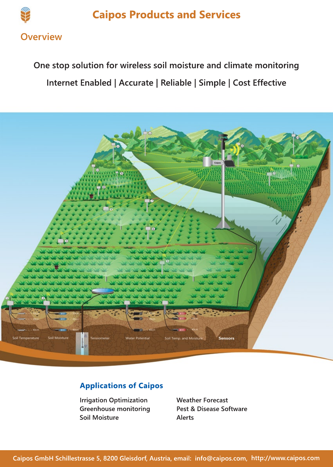

# **One stop solution for wireless soil moisture and climate monitoring Internet Enabled | Accurate | Reliable | Simple | Cost Effective**



## **Applications of Caipos**

**Irrigation Optimization Greenhouse monitoring Soil Moisture**

**Weather Forecast Pest & Disease Software Alerts**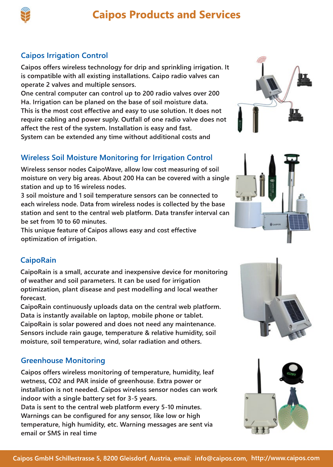

## **Caipos Irrigation Control**

**Caipos offers wireless technology for drip and sprinkling irrigation. It is compatible with all existing installations. Caipo radio valves can operate 2 valves and multiple sensors.**

**One central computer can control up to 200 radio valves over 200 Ha. Irrigation can be planed on the base of soil moisture data.** This is the most cost effective and easy to use solution. It does not **require cabling and power suply. Outfall of one radio valve does not affect the rest of the system. Installation is easy and fast. System can be extended any time without additional costs and** 

## **Wireless Soil Moisture Monitoring for Irrigation Control**

**Wireless sensor nodes CaipoWave, allow low cost measuring of soil moisture on very big areas. About 200 Ha can be covered with a single station and up to 16 wireless nodes.** 

**3 soil moisture and 1 soil temperature sensors can be connected to each wireless node. Data from wireless nodes is collected by the base station and sent to the central web platform. Data transfer interval can be set from 10 to 60 minutes.**

**This unique feature of Caipos allows easy and cost effective optimization of irrigation.**

## **CaipoRain**

**CaipoRain is a small, accurate and inexpensive device for monitoring of weather and soil parameters. It can be used for irrigation optimization, plant disease and pest modelling and local weather forecast.**

CaipoRain continuously uploads data on the central web platform. **Data is instantly available on laptop, mobile phone or tablet. CaipoRain is solar powered and does not need any maintenance. Sensors include rain gauge, temperature & relative humidity, soil moisture, soil temperature, wind, solar radiation and others.**

### **Greenhouse Monitoring**

**Caipos offers wireless monitoring of temperature, humidity, leaf wetness, CO2 and PAR inside of greenhouse. Extra power or installation is not needed. Caipos wireless sensor nodes can work indoor with a single battery set for 3-5 years.** 

**Data is sent to the central web platform every 5-10 minutes. Warnings can be configured for any sensor, like low or high temperature, high humidity, etc. Warning messages are sent via email or SMS in real time**







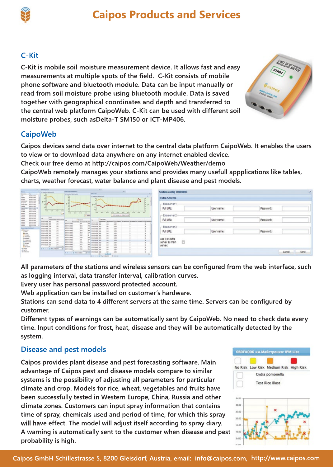## **C-Kit**

**C-Kit is mobile soil moisture measurement device. It allows fast and easy measurements at multiple spots of the field. C-Kit consists of mobile phone software and bluetooth module. Data can be input manually or read from soil moisture probe using bluetooth module. Data is saved together with geographical coordinates and depth and transferred to the central web platform CaipoWeb. C-Kit can be used with different soil moisture probes, such asDelta-T SM150 or ICT-MP406.** 



Password:

Password

Password:

Cancel

Sand

## **CaipoWeb**

**Caipos devices send data over internet to the central data platform CaipoWeb. It enables the users to view or to download data anywhere on any internet enabled device.** 

**Check our free demo at http://caipos.com/CaipoWeb/Weather/demo**

**CaipoWeb remotely manages your stations and provides many usefull appplications like tables, charts, weather forecast, water balance and plant disease and pest models.**

| Time of<br><b>Genericans</b>                                                                                                                                                                                                   | An experience, Asterno Aurichio                                                            | <b>Bookers Telegra Test Student &amp;</b><br>In Information Substitutionalist                                         | 10.41<br><b><i><u>Subscription</u></i></b><br>$m =$                                                                                         | Station config 7000000C      |            |
|--------------------------------------------------------------------------------------------------------------------------------------------------------------------------------------------------------------------------------|--------------------------------------------------------------------------------------------|-----------------------------------------------------------------------------------------------------------------------|---------------------------------------------------------------------------------------------------------------------------------------------|------------------------------|------------|
| <b>BORDER</b><br>ark<br><b>Bird-Aven</b><br>tarini<br><b>BARATAS</b><br><b>Building</b><br><b>Booker</b>                                                                                                                       | u.<br><b>SILLEN</b><br><b>VILL</b><br><b>START</b>                                         |                                                                                                                       | $\sim$<br>In International American condition                                                                                               | <b>Extra Servers</b>         |            |
| <b><i><u>ERECT &amp; NC</u></i></b><br>8440.00<br><b>Si diserver</b><br><b>BEGINER</b><br><b>Index Early</b><br><b>British College</b><br><b>STATES</b><br><b>WEIGHT A</b><br><b>Terms Text Text</b><br><b><i>RESIDENT</i></b> | $W = 11$<br>$\sim$<br>scale<br>$\rightarrow$<br>NO.<br><b>SALES</b><br>to an<br><b>WIN</b> |                                                                                                                       | the day<br>94.011<br>1200410000<br>$-0.01$<br>wel<br><b>MAG</b>                                                                             | - Exta server 1<br>Full URL: | User name: |
| <b>BEGINS</b><br><b><i>BASIMIN</i></b><br><b>BEGINS</b><br><b>BEGALINE</b>                                                                                                                                                     | $1 - 1$<br><b>Arms</b>                                                                     | $-0.91$<br>war.<br>$n = 1$<br>$-1$<br><b>LAWRENCE</b>                                                                 | <b>WWW</b><br><b>SALES</b><br><b>HHE</b><br><b>SERVICE</b><br>$-10$<br>$-$<br>+ Allenaudes & Robertschill                                   | - Exta server 2              |            |
| <b>BEGROOM</b><br><b>BELLEVILLE</b><br><b>BUILDING</b><br><b>BEARING</b>                                                                                                                                                       | A WARRANT WIRENING<br><b>AUGUSTA AV</b><br>Si 4<br>full-<br><b>BODINER AW</b>              | <b>Service</b><br><b>I</b> was<br>Reposed of Allegement Service<br>$+1$<br><b>Bid-drakowk</b><br>$\rightarrow$        | The area<br>A MARKAST, NATALANDS SECURING C. SENIGATED SALARANDE MINIMARKET BENJAMPE<br><b>Roll</b><br><b>Rodovick Air</b><br>$\frac{1}{2}$ | Full URL:                    | User name: |
| <b>BEACH</b><br><b>Contract Service Contract</b>                                                                                                                                                                               | appoints as<br>To 2<br>ms.<br><b>BOROVER USE</b><br>accounts your<br>to:                   | 6.8<br>sec.<br>doctor part in<br>ti si<br><b>Nonron</b><br>1.1<br>analysis may                                        | total<br>$\sim$<br><b>Andrewald MA</b><br>m<br><b>NAME</b><br><b>BOGINIA AS</b><br><b>Hotel</b><br>tan?<br><b>BIGINER AR</b>                | - Exta server 3              |            |
| <b>Beaumont</b><br><b>U</b> forest<br><b>B</b> irdan                                                                                                                                                                           | 41.6<br><b>BOSIVER AN</b><br>to it<br><b>AUGUST AB</b><br><b>BODIVER AR</b><br>m.          | <b>BOOKSET</b><br>0.8<br>$\cdots$<br><b><i>Résiduence</i></b><br>8.4<br><b>COL</b><br>$\rightarrow$<br><b>BANKOWA</b> | tor.<br>so.<br><b>ROGINAR ITS</b><br><b>Inch</b><br>tutes<br><b>Automate and</b><br><b>Hotel</b><br><b>Note</b><br><b>RIGHTS AT</b>         | Full URL:                    | User name: |
| <b>Arrowand</b><br>P-inspezier<br><b>Greates</b>                                                                                                                                                                               | tur.<br><b>Additional AV</b><br>ALA<br><b>BOODNA AN</b><br>to a<br><b>BUSINESS AN</b>      | <b>British AVE</b> 1<br>48<br><b>BUGGARY</b><br>P.M<br>$^{12}$<br><b>BUSINET</b>                                      | <b>MAR</b><br>total<br><b>AUGUSTA AR</b><br><b>Address</b><br><b>BURNDA AF</b><br><b>Md</b><br>total<br>mo<br><b>BUSINE SA</b>              | use 1st extra                |            |
| <b>E</b> is relatives<br>Chemicales<br><b>Contrast</b><br>Benton                                                                                                                                                               | m.<br><b>BOWERE AR</b><br>to a<br><b>BANGROOM</b> MAY<br>m.<br><b>ROGANIA GAL</b>          | $\mathbf{a}$<br><b><i>Bibiballing</i></b><br>manager of<br><b>H</b><br>m<br>as.<br>m.<br><b>BAGGINE</b>               | w<br><b>SALE</b><br><b>BERKINE AF</b><br><b>SULL</b><br><b>EDGIFIER INC.</b><br>m r<br>Ξ<br>No.<br><b>BANGERS SE</b>                        | 四<br>server as main          |            |
| <b>B</b> has sales<br><b>E GARA</b><br><b>B RAFA</b>                                                                                                                                                                           | MAIN MOVED A<br>ALC: YES A REPORT                                                          | 16.8<br>m.<br><b>Autobiocene</b><br>$-44$<br><b>BARUELE I</b><br><b>Michael Constitution</b>                          | <b>NOW</b><br>Automobile Law<br>m<br><b>NO</b><br><b>BOGLERS 24</b><br>w<br>total<br><b>EDGIVERS AR</b>                                     | <b>SEIVEIT:</b>              |            |
| <b>Williams</b>                                                                                                                                                                                                                |                                                                                            | At A in this off the module of                                                                                        | m.<br><b>BARLAINS IAA</b><br><b>Boltz</b><br>Artist.<br>(5) money to not strain that<br>28 4 11 11 27 Apr Holders<br>75 Molviller 4         |                              |            |

**All parameters of the stations and wireless sensors can be configured from the web interface, such as logging interval, data transfer interval, calibration curves.**

**Every user has personal password protected account.**

**Web application can be installed on customer's hardware.**

**Stations can send data to 4 different servers at the same time. Servers can be configured by customer.**

**Different types of warnings can be automatically sent by CaipoWeb. No need to check data every time. Input conditions for frost, heat, disease and they will be automatically detected by the system.**

### **Disease and pest models**

**Caipos provides plant disease and pest forecasting software. Main advantage of Caipos pest and disease models compare to similar systems is the possibility of adjusting all parameters for particular climate and crop. Models for rice, wheat, vegetables and fruits have been successfully tested in Western Europe, China, Russia and other climate zones. Customers can input spray information that contains time of spray, chemicals used and period of time, for which this spray**  will have effect. The model will adjust itself according to spray diary. **A warning is automatically sent to the customer when disease and pest probability is high.**